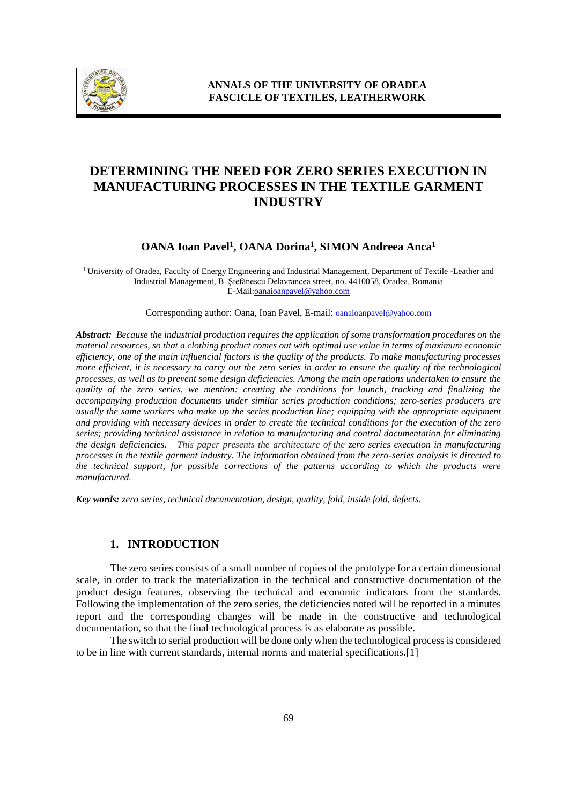

# **DETERMINING THE NEED FOR ZERO SERIES EXECUTION IN MANUFACTURING PROCESSES IN THE TEXTILE GARMENT INDUSTRY**

## **OANA Ioan Pavel<sup>1</sup> , OANA Dorina<sup>1</sup> , SIMON Andreea Anca<sup>1</sup>**

<sup>1</sup>University of Oradea, Faculty of Energy Engineering and Industrial Management, Department of Textile -Leather and Industrial Management, B. Ştefănescu Delavrancea street, no. 4410058, Oradea, Romania E-Mail:oanaioanpavel@yahoo.com

Corresponding author: Oana, Ioan Pavel, E-mail: **oanaioanpavel@yahoo.com** 

*Abstract: Because the industrial production requires the application of some transformation procedures on the material resources, so that a clothing product comes out with optimal use value in terms of maximum economic efficiency, one of the main influencial factors is the quality of the products. To make manufacturing processes more efficient, it is necessary to carry out the zero series in order to ensure the quality of the technological processes, as well as to prevent some design deficiencies. Among the main operations undertaken to ensure the quality of the zero series, we mention: creating the conditions for launch, tracking and finalizing the accompanying production documents under similar series production conditions; zero-series producers are usually the same workers who make up the series production line; equipping with the appropriate equipment and providing with necessary devices in order to create the technical conditions for the execution of the zero series; providing technical assistance in relation to manufacturing and control documentation for eliminating the design deficiencies. This paper presents the architecture of the zero series execution in manufacturing processes in the textile garment industry. The information obtained from the zero-series analysis is directed to the technical support, for possible corrections of the patterns according to which the products were manufactured.*

*Key words: zero series, technical documentation, design, quality, fold, inside fold, defects.*

#### **1. INTRODUCTION**

The zero series consists of a small number of copies of the prototype for a certain dimensional scale, in order to track the materialization in the technical and constructive documentation of the product design features, observing the technical and economic indicators from the standards. Following the implementation of the zero series, the deficiencies noted will be reported in a minutes report and the corresponding changes will be made in the constructive and technological documentation, so that the final technological process is as elaborate as possible.

The switch to serial production will be done only when the technological process is considered to be in line with current standards, internal norms and material specifications.[1]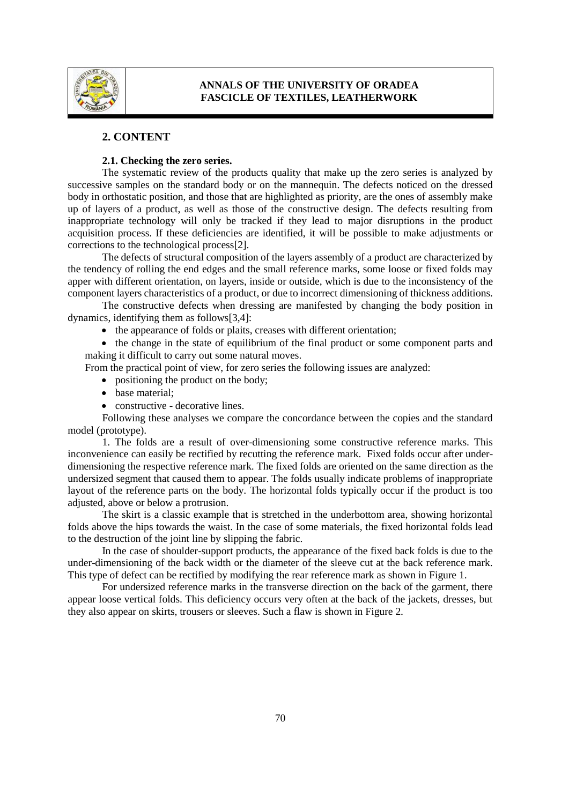

### **2. CONTENT**

#### **2.1. Checking the zero series.**

The systematic review of the products quality that make up the zero series is analyzed by successive samples on the standard body or on the mannequin. The defects noticed on the dressed body in orthostatic position, and those that are highlighted as priority, are the ones of assembly make up of layers of a product, as well as those of the constructive design. The defects resulting from inappropriate technology will only be tracked if they lead to major disruptions in the product acquisition process. If these deficiencies are identified, it will be possible to make adjustments or corrections to the technological process[2].

The defects of structural composition of the layers assembly of a product are characterized by the tendency of rolling the end edges and the small reference marks, some loose or fixed folds may apper with different orientation, on layers, inside or outside, which is due to the inconsistency of the component layers characteristics of a product, or due to incorrect dimensioning of thickness additions.

The constructive defects when dressing are manifested by changing the body position in dynamics, identifying them as follows[3,4]:

• the appearance of folds or plaits, creases with different orientation;

• the change in the state of equilibrium of the final product or some component parts and making it difficult to carry out some natural moves.

From the practical point of view, for zero series the following issues are analyzed:

- positioning the product on the body;
- base material:
- constructive decorative lines.

Following these analyses we compare the concordance between the copies and the standard model (prototype).

1. The folds are a result of over-dimensioning some constructive reference marks. This inconvenience can easily be rectified by recutting the reference mark. Fixed folds occur after underdimensioning the respective reference mark. The fixed folds are oriented on the same direction as the undersized segment that caused them to appear. The folds usually indicate problems of inappropriate layout of the reference parts on the body. The horizontal folds typically occur if the product is too adjusted, above or below a protrusion.

The skirt is a classic example that is stretched in the underbottom area, showing horizontal folds above the hips towards the waist. In the case of some materials, the fixed horizontal folds lead to the destruction of the joint line by slipping the fabric.

In the case of shoulder-support products, the appearance of the fixed back folds is due to the under-dimensioning of the back width or the diameter of the sleeve cut at the back reference mark. This type of defect can be rectified by modifying the rear reference mark as shown in Figure 1.

For undersized reference marks in the transverse direction on the back of the garment, there appear loose vertical folds. This deficiency occurs very often at the back of the jackets, dresses, but they also appear on skirts, trousers or sleeves. Such a flaw is shown in Figure 2.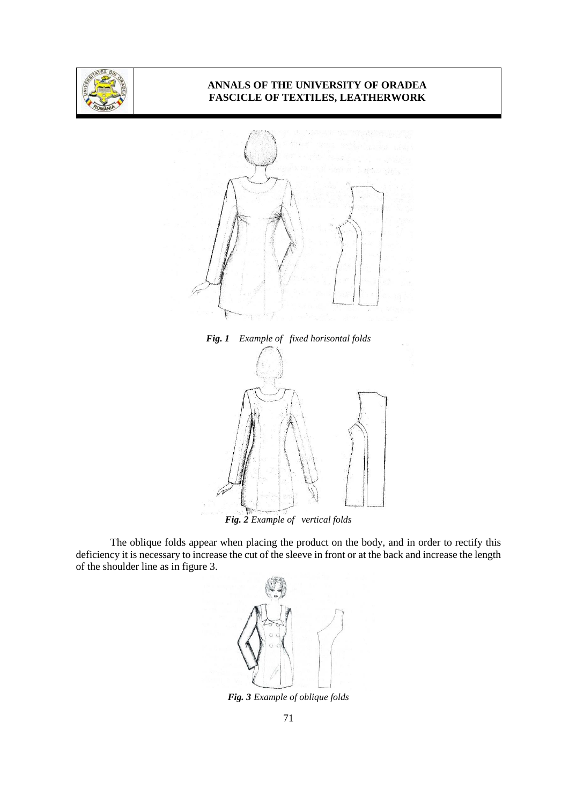



*Fig. 1 Example of fixed horisontal folds* 



*Fig. 2 Example of vertical folds*

The oblique folds appear when placing the product on the body, and in order to rectify this deficiency it is necessary to increase the cut of the sleeve in front or at the back and increase the length of the shoulder line as in figure 3.



*Fig. 3 Example of oblique folds*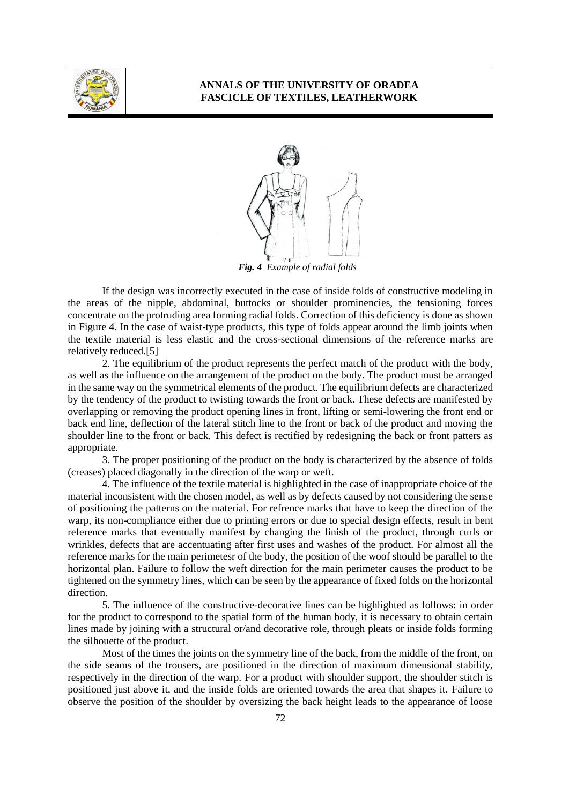



*Fig. 4 Example of radial folds*

If the design was incorrectly executed in the case of inside folds of constructive modeling in the areas of the nipple, abdominal, buttocks or shoulder prominencies, the tensioning forces concentrate on the protruding area forming radial folds. Correction of this deficiency is done as shown in Figure 4. In the case of waist-type products, this type of folds appear around the limb joints when the textile material is less elastic and the cross-sectional dimensions of the reference marks are relatively reduced.[5]

2. The equilibrium of the product represents the perfect match of the product with the body, as well as the influence on the arrangement of the product on the body. The product must be arranged in the same way on the symmetrical elements of the product. The equilibrium defects are characterized by the tendency of the product to twisting towards the front or back. These defects are manifested by overlapping or removing the product opening lines in front, lifting or semi-lowering the front end or back end line, deflection of the lateral stitch line to the front or back of the product and moving the shoulder line to the front or back. This defect is rectified by redesigning the back or front patters as appropriate.

3. The proper positioning of the product on the body is characterized by the absence of folds (creases) placed diagonally in the direction of the warp or weft.

4. The influence of the textile material is highlighted in the case of inappropriate choice of the material inconsistent with the chosen model, as well as by defects caused by not considering the sense of positioning the patterns on the material. For refrence marks that have to keep the direction of the warp, its non-compliance either due to printing errors or due to special design effects, result in bent reference marks that eventually manifest by changing the finish of the product, through curls or wrinkles, defects that are accentuating after first uses and washes of the product. For almost all the reference marks for the main perimetesr of the body, the position of the woof should be parallel to the horizontal plan. Failure to follow the weft direction for the main perimeter causes the product to be tightened on the symmetry lines, which can be seen by the appearance of fixed folds on the horizontal direction.

5. The influence of the constructive-decorative lines can be highlighted as follows: in order for the product to correspond to the spatial form of the human body, it is necessary to obtain certain lines made by joining with a structural or/and decorative role, through pleats or inside folds forming the silhouette of the product.

Most of the times the joints on the symmetry line of the back, from the middle of the front, on the side seams of the trousers, are positioned in the direction of maximum dimensional stability, respectively in the direction of the warp. For a product with shoulder support, the shoulder stitch is positioned just above it, and the inside folds are oriented towards the area that shapes it. Failure to observe the position of the shoulder by oversizing the back height leads to the appearance of loose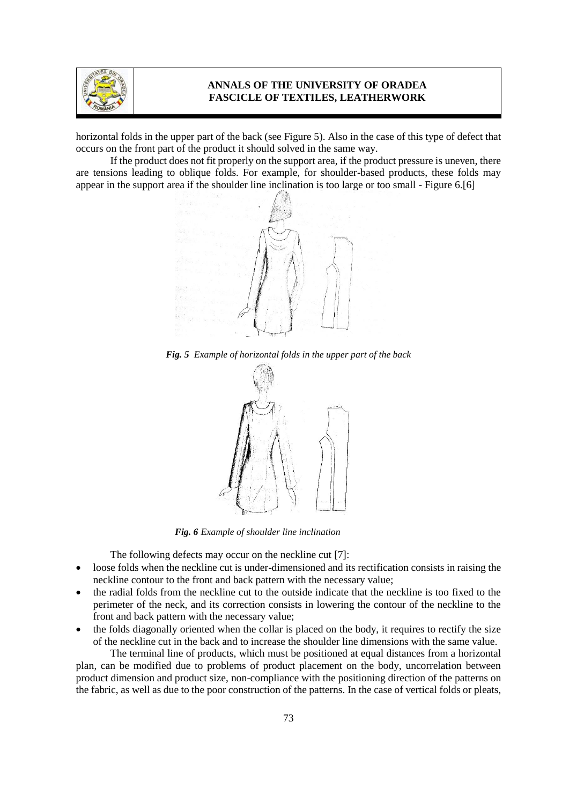

horizontal folds in the upper part of the back (see Figure 5). Also in the case of this type of defect that occurs on the front part of the product it should solved in the same way.

If the product does not fit properly on the support area, if the product pressure is uneven, there are tensions leading to oblique folds. For example, for shoulder-based products, these folds may appear in the support area if the shoulder line inclination is too large or too small - Figure 6.[6]



*Fig. 5 Example of horizontal folds in the upper part of the back* 



 *Fig. 6 Example of shoulder line inclination*

The following defects may occur on the neckline cut [7]:

- loose folds when the neckline cut is under-dimensioned and its rectification consists in raising the neckline contour to the front and back pattern with the necessary value;
- the radial folds from the neckline cut to the outside indicate that the neckline is too fixed to the perimeter of the neck, and its correction consists in lowering the contour of the neckline to the front and back pattern with the necessary value;
- the folds diagonally oriented when the collar is placed on the body, it requires to rectify the size of the neckline cut in the back and to increase the shoulder line dimensions with the same value.

The terminal line of products, which must be positioned at equal distances from a horizontal plan, can be modified due to problems of product placement on the body, uncorrelation between product dimension and product size, non-compliance with the positioning direction of the patterns on the fabric, as well as due to the poor construction of the patterns. In the case of vertical folds or pleats,